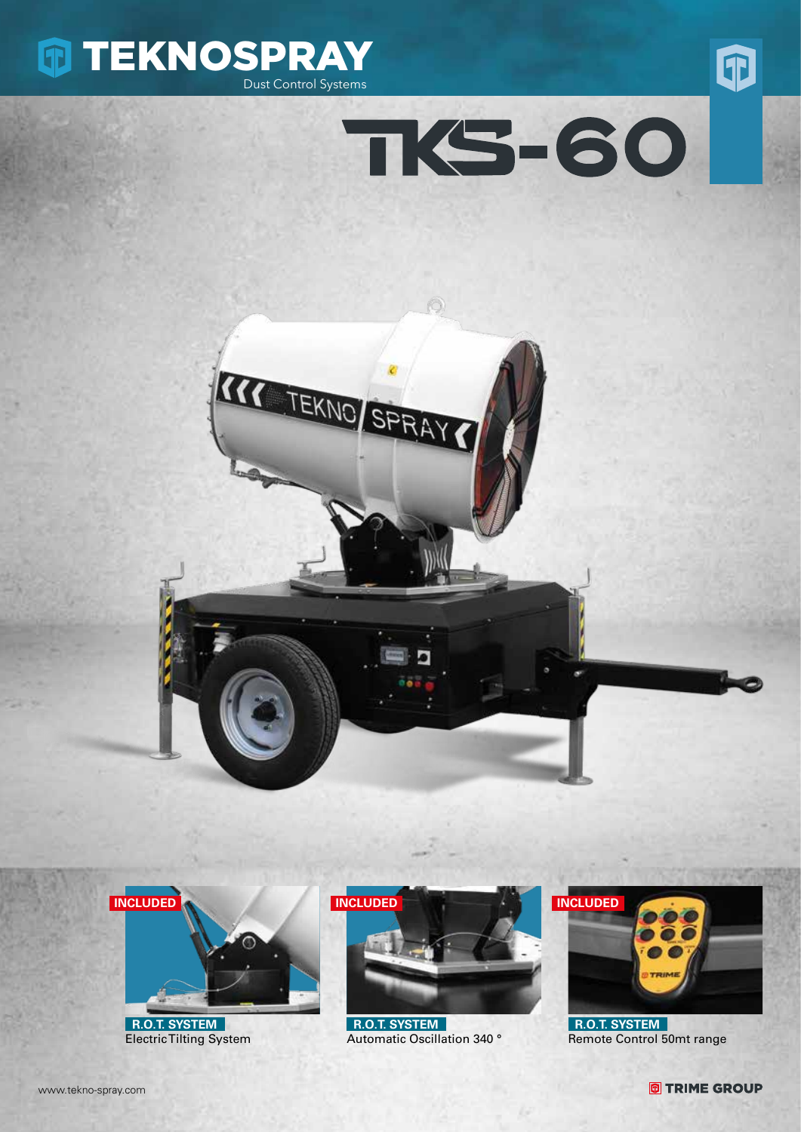









 **R.O.T. SYSTEM** Electric Tilting System



 **R.O.T. SYSTEM** Automatic Oscillation 340 °





 **R.O.T. SYSTEM** Remote Control 50mt range